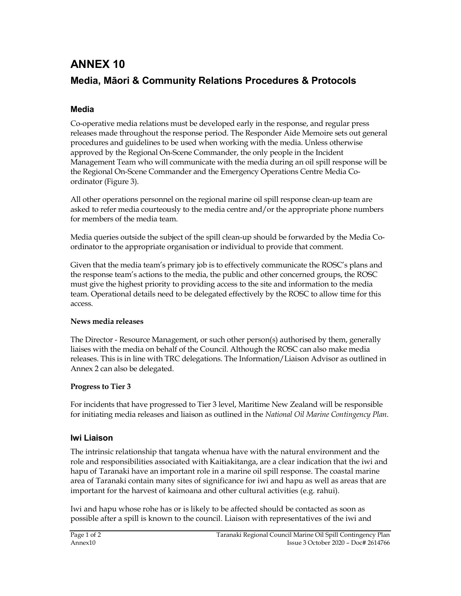# ANNEX 10 Media, Māori & Community Relations Procedures & Protocols

### Media

Co-operative media relations must be developed early in the response, and regular press releases made throughout the response period. The Responder Aide Memoire sets out general procedures and guidelines to be used when working with the media. Unless otherwise approved by the Regional On-Scene Commander, the only people in the Incident Management Team who will communicate with the media during an oil spill response will be the Regional On-Scene Commander and the Emergency Operations Centre Media Coordinator (Figure 3).

All other operations personnel on the regional marine oil spill response clean-up team are asked to refer media courteously to the media centre and/or the appropriate phone numbers for members of the media team.

Media queries outside the subject of the spill clean-up should be forwarded by the Media Coordinator to the appropriate organisation or individual to provide that comment.

Given that the media team's primary job is to effectively communicate the ROSC's plans and the response team's actions to the media, the public and other concerned groups, the ROSC must give the highest priority to providing access to the site and information to the media team. Operational details need to be delegated effectively by the ROSC to allow time for this access.

#### News media releases

The Director - Resource Management, or such other person(s) authorised by them, generally liaises with the media on behalf of the Council. Although the ROSC can also make media releases. This is in line with TRC delegations. The Information/Liaison Advisor as outlined in Annex 2 can also be delegated.

### Progress to Tier 3

For incidents that have progressed to Tier 3 level, Maritime New Zealand will be responsible for initiating media releases and liaison as outlined in the National Oil Marine Contingency Plan.

### Iwi Liaison

The intrinsic relationship that tangata whenua have with the natural environment and the role and responsibilities associated with Kaitiakitanga, are a clear indication that the iwi and hapu of Taranaki have an important role in a marine oil spill response. The coastal marine area of Taranaki contain many sites of significance for iwi and hapu as well as areas that are important for the harvest of kaimoana and other cultural activities (e.g. rahui).

Iwi and hapu whose rohe has or is likely to be affected should be contacted as soon as possible after a spill is known to the council. Liaison with representatives of the iwi and